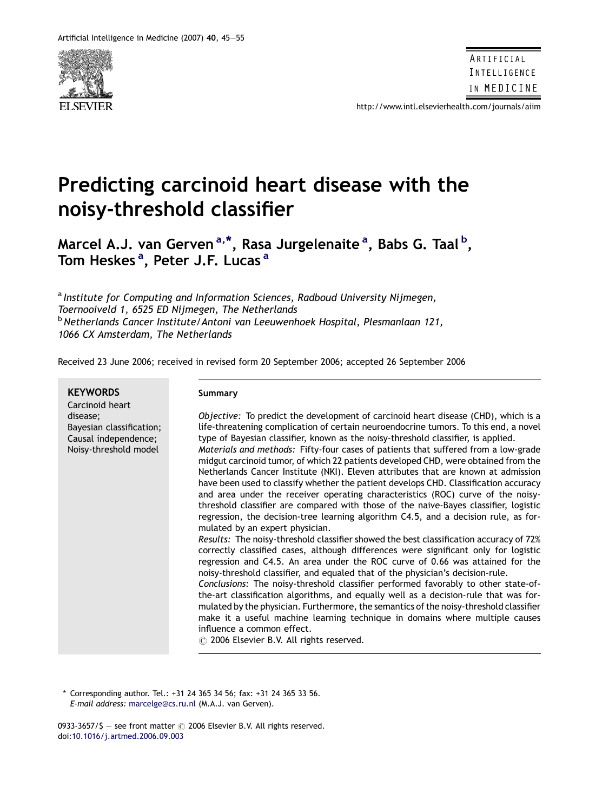

ARTIFICIAL INTELLIGENCE IN MEDICINE

http://www.intl.elsevierhealth.com/journals/aiim

# Predicting carcinoid heart disease with the noisy-threshold classifier

Marcel A.J. van Gerven<sup>a,\*</sup>, Rasa Jurgelenaite<sup>a</sup>, Babs G. Taal<sup>b</sup>, Tom Heskes <sup>a</sup>, Peter J.F. Lucas <sup>a</sup>

<sup>a</sup> Institute for Computing and Information Sciences, Radboud University Nijmegen, Toernooiveld 1, 6525 ED Nijmegen, The Netherlands <sup>b</sup> Netherlands Cancer Institute/Antoni van Leeuwenhoek Hospital, Plesmanlaan 121, 1066 CX Amsterdam, The Netherlands

Received 23 June 2006; received in revised form 20 September 2006; accepted 26 September 2006

| <b>KEYWORDS</b>                                                                       | Summary                                                                                                                                                                                                                                                                                                                                                                                                                                                                                                                                                                                                                                                                                                                                                                                                                                                                                                                                                                                                                                                                                                                                                                                                                                                                                                                                                                                                                                                                                                                                                                                                                                                                                                                     |
|---------------------------------------------------------------------------------------|-----------------------------------------------------------------------------------------------------------------------------------------------------------------------------------------------------------------------------------------------------------------------------------------------------------------------------------------------------------------------------------------------------------------------------------------------------------------------------------------------------------------------------------------------------------------------------------------------------------------------------------------------------------------------------------------------------------------------------------------------------------------------------------------------------------------------------------------------------------------------------------------------------------------------------------------------------------------------------------------------------------------------------------------------------------------------------------------------------------------------------------------------------------------------------------------------------------------------------------------------------------------------------------------------------------------------------------------------------------------------------------------------------------------------------------------------------------------------------------------------------------------------------------------------------------------------------------------------------------------------------------------------------------------------------------------------------------------------------|
| Carcinoid heart                                                                       |                                                                                                                                                                                                                                                                                                                                                                                                                                                                                                                                                                                                                                                                                                                                                                                                                                                                                                                                                                                                                                                                                                                                                                                                                                                                                                                                                                                                                                                                                                                                                                                                                                                                                                                             |
| disease;<br>Bayesian classification;<br>Causal independence;<br>Noisy-threshold model | <i>Objective:</i> To predict the development of carcinoid heart disease (CHD), which is a<br>life-threatening complication of certain neuroendocrine tumors. To this end, a novel<br>type of Bayesian classifier, known as the noisy-threshold classifier, is applied.<br>Materials and methods: Fifty-four cases of patients that suffered from a low-grade<br>midgut carcinoid tumor, of which 22 patients developed CHD, were obtained from the<br>Netherlands Cancer Institute (NKI). Eleven attributes that are known at admission<br>have been used to classify whether the patient develops CHD. Classification accuracy<br>and area under the receiver operating characteristics (ROC) curve of the noisy-<br>threshold classifier are compared with those of the naive-Bayes classifier, logistic<br>regression, the decision-tree learning algorithm C4.5, and a decision rule, as for-<br>mulated by an expert physician.<br>Results: The noisy-threshold classifier showed the best classification accuracy of 72%<br>correctly classified cases, although differences were significant only for logistic<br>regression and C4.5. An area under the ROC curve of 0.66 was attained for the<br>noisy-threshold classifier, and equaled that of the physician's decision-rule.<br>Conclusions: The noisy-threshold classifier performed favorably to other state-of-<br>the-art classification algorithms, and equally well as a decision-rule that was for-<br>mulated by the physician. Furthermore, the semantics of the noisy-threshold classifier<br>make it a useful machine learning technique in domains where multiple causes<br>influence a common effect.<br>© 2006 Elsevier B.V. All rights reserved. |

\* Corresponding author. Tel.: +31 24 365 34 56; fax: +31 24 365 33 56. E-mail address: [marcelge@cs.ru.nl](mailto:marcelge@cs.ru.nl) (M.A.J. van Gerven).

0933-3657/\$ - see front matter  $\odot$  2006 Elsevier B.V. All rights reserved. doi[:10.1016/j.artmed.2006.09.003](http://dx.doi.org/10.1016/j.artmed.2006.09.003)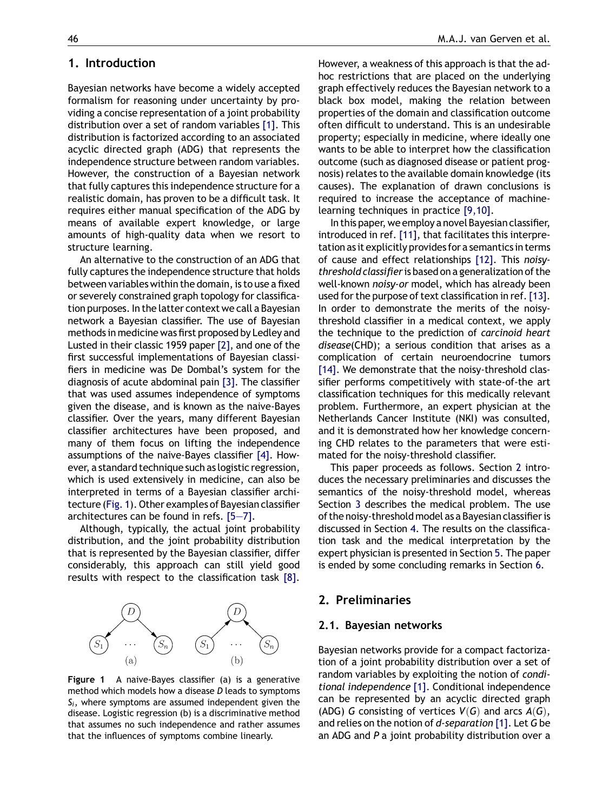# <span id="page-1-0"></span>1. Introduction

Bayesian networks have become a widely accepted formalism for reasoning under uncertainty by providing a concise representation of a joint probability distribution over a set of random variables [\[1\]](#page-9-0). This distribution is factorized according to an associated acyclic directed graph (ADG) that represents the independence structure between random variables. However, the construction of a Bayesian network that fully captures this independence structure for a realistic domain, has proven to be a difficult task. It requires either manual specification of the ADG by means of available expert knowledge, or large amounts of high-quality data when we resort to structure learning.

An alternative to the construction of an ADG that fully captures the independence structure that holds between variables within the domain, is to use a fixed or severely constrained graph topology for classification purposes. In the latter context we call a Bayesian network a Bayesian classifier. The use of Bayesian methods in medicine was first proposed by Ledley and Lusted in their classic 1959 paper [\[2\],](#page-9-0) and one of the first successful implementations of Bayesian classifiers in medicine was De Dombal's system for the diagnosis of acute abdominal pain [\[3\].](#page-9-0) The classifier that was used assumes independence of symptoms given the disease, and is known as the naive-Bayes classifier. Over the years, many different Bayesian classifier architectures have been proposed, and many of them focus on lifting the independence assumptions of the naive-Bayes classifier [\[4\].](#page-9-0) However, a standard technique such as logistic regression, which is used extensively in medicine, can also be interpreted in terms of a Bayesian classifier architecture (Fig. 1). Other examples of Bayesian classifier architectures can be found in refs. [\[5—7\]](#page-9-0).

Although, typically, the actual joint probability distribution, and the joint probability distribution that is represented by the Bayesian classifier, differ considerably, this approach can still yield good results with respect to the classification task [\[8\].](#page-9-0)



Figure 1 A naive-Bayes classifier (a) is a generative method which models how a disease D leads to symptoms  $S_i$ , where symptoms are assumed independent given the disease. Logistic regression (b) is a discriminative method that assumes no such independence and rather assumes that the influences of symptoms combine linearly.

However, a weakness of this approach is that the adhoc restrictions that are placed on the underlying graph effectively reduces the Bayesian network to a black box model, making the relation between properties of the domain and classification outcome often difficult to understand. This is an undesirable property; especially in medicine, where ideally one wants to be able to interpret how the classification outcome (such as diagnosed disease or patient prognosis) relates to the available domain knowledge (its causes). The explanation of drawn conclusions is required to increase the acceptance of machinelearning techniques in practice [\[9,10\]](#page-9-0).

In this paper, we employ a novel Bayesian classifier, introduced in ref. [\[11\],](#page-9-0) that facilitates this interpretation as it explicitly provides for a semantics in terms of cause and effect relationships [\[12\].](#page-9-0) This noisythreshold classifier is based on a generalization of the well-known noisy-or model, which has already been used for the purpose of text classification in ref.[\[13\].](#page-9-0) In order to demonstrate the merits of the noisythreshold classifier in a medical context, we apply the technique to the prediction of carcinoid heart disease(CHD); a serious condition that arises as a complication of certain neuroendocrine tumors [\[14\].](#page-9-0) We demonstrate that the noisy-threshold classifier performs competitively with state-of-the art classification techniques for this medically relevant problem. Furthermore, an expert physician at the Netherlands Cancer Institute (NKI) was consulted, and it is demonstrated how her knowledge concerning CHD relates to the parameters that were estimated for the noisy-threshold classifier.

This paper proceeds as follows. Section 2 introduces the necessary preliminaries and discusses the semantics of the noisy-threshold model, whereas Section [3](#page-4-0) describes the medical problem. The use of the noisy-threshold model as a Bayesian classifier is discussed in Section [4.](#page-5-0) The results on the classification task and the medical interpretation by the expert physician is presented in Section [5](#page-6-0). The paper is ended by some concluding remarks in Section [6](#page-9-0).

# 2. Preliminaries

#### 2.1. Bayesian networks

Bayesian networks provide for a compact factorization of a joint probability distribution over a set of random variables by exploiting the notion of conditional independence [\[1\].](#page-9-0) Conditional independence can be represented by an acyclic directed graph (ADG) G consisting of vertices  $V(G)$  and arcs  $A(G)$ , and relies on the notion of *d-separation* [\[1\]](#page-9-0). Let G be an ADG and P a joint probability distribution over a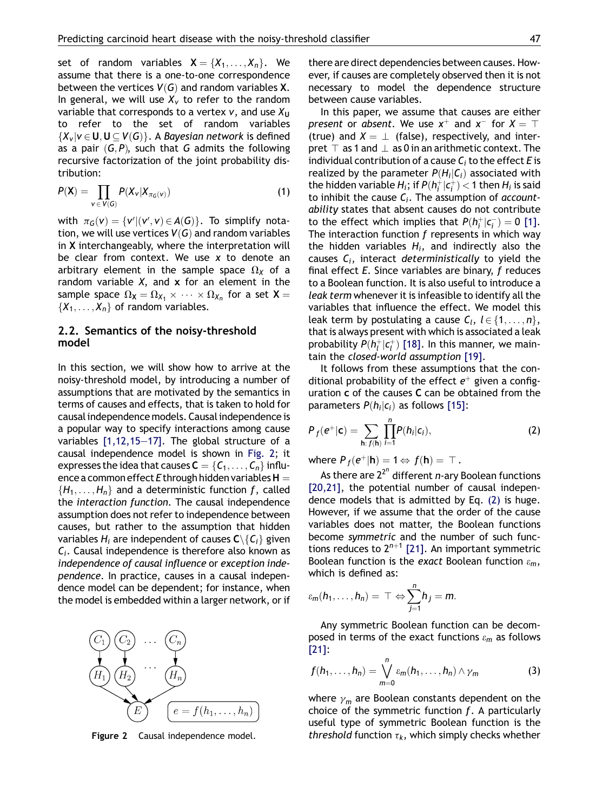<span id="page-2-0"></span>set of random variables  $X = \{X_1, \ldots, X_n\}$ . We assume that there is a one-to-one correspondence between the vertices  $V(G)$  and random variables X. In general, we will use  $X_v$  to refer to the random variable that corresponds to a vertex  $v$ , and use  $X_U$ to refer to the set of random variables  $\{X_{\mathsf{v}} | \mathsf{v} \in \mathsf{U}, \mathsf{U} \subseteq \mathsf{V}(\mathsf{G})\}$ . A Bayesian network is defined as a pair  $(G, P)$ , such that G admits the following recursive factorization of the joint probability distribution:

$$
P(\mathbf{X}) = \prod_{v \in V(G)} P(X_v | X_{\pi_G(v)}) \tag{1}
$$

with  $\pi_G(v) = \{v' | (v', v) \in A(G)\}$ . To simplify notation, we will use vertices  $V(G)$  and random variables in X interchangeably, where the interpretation will be clear from context. We use  $x$  to denote an arbitrary element in the sample space  $\Omega_X$  of a random variable  $X$ , and  $x$  for an element in the sample space  $\Omega_{\mathsf{X}} = \Omega_{X_1} \times \cdots \times \Omega_{X_n}$  for a set  $\mathsf{X} =$  $\{X_1, \ldots, X_n\}$  of random variables.

## 2.2. Semantics of the noisy-threshold model

In this section, we will show how to arrive at the noisy-threshold model, by introducing a number of assumptions that are motivated by the semantics in terms of causes and effects, that is taken to hold for causal independence models. Causal independence is a popular way to specify interactions among cause variables [\[1,12,15—17\]](#page-9-0). The global structure of a causal independence model is shown in Fig. 2; it expresses the idea that causes  $C = \{C_1, \ldots, C_n\}$  influence a common effect E through hidden variables  $H =$  $\{H_1,\ldots,H_n\}$  and a deterministic function f, called the interaction function. The causal independence assumption does not refer to independence between causes, but rather to the assumption that hidden variables  $H_i$  are independent of causes  $C \setminus \{C_i\}$  given  $C_i$ . Causal independence is therefore also known as independence of causal influence or exception independence. In practice, causes in a causal independence model can be dependent; for instance, when the model is embedded within a larger network, or if



Figure 2 Causal independence model.

there are direct dependencies between causes. However, if causes are completely observed then it is not necessary to model the dependence structure between cause variables.

In this paper, we assume that causes are either present or absent. We use  $x^+$  and  $x^-$  for  $X = \top$ (true) and  $X = \perp$  (false), respectively, and interpret  $\top$  as 1 and  $\bot$  as 0 in an arithmetic context. The individual contribution of a cause  $C_i$  to the effect E is realized by the parameter  $P(H_i|C_i)$  associated with the hidden variable  $H_i$ ; if  $P(h_i^+|c_i^+) < 1$  then  $H_i$  is said to inhibit the cause  $C_i$ . The assumption of accountability states that absent causes do not contribute to the effect which implies that  $P(h_j^+|c_j^-)=0$  [\[1\]](#page-9-0). The interaction function  $f$  represents in which way the hidden variables  $H_i$ , and indirectly also the causes  $C_i$ , interact deterministically to yield the final effect  $E$ . Since variables are binary,  $f$  reduces to a Boolean function. It is also useful to introduce a leak term whenever it is infeasible to identify all the variables that influence the effect. We model this leak term by postulating a cause  $C_l$ ,  $l \in \{1, \ldots, n\}$ , that is always present with which is associated a leak probability  $P(h_{l}^{+}|c_{l}^{+})$  [\[18\].](#page-10-0) In this manner, we maintain the closed-world assumption [\[19\].](#page-10-0)

It follows from these assumptions that the conditional probability of the effect  $e^+$  given a configuration c of the causes C can be obtained from the parameters  $P(h_i|c_i)$  as follows [\[15\]](#page-10-0):

$$
P_f(e^+|c) = \sum_{h: f(h)} \prod_{i=1}^n P(h_i|c_i), \qquad (2)
$$

where  $P_f(e^+|\mathbf{h}) = 1 \Leftrightarrow f(\mathbf{h}) = \top$ .

As there are  $2^{2^n}$  different  $n$ -ary Boolean functions [\[20,21\]](#page-10-0), the potential number of causal independence models that is admitted by Eq. (2) is huge. However, if we assume that the order of the cause variables does not matter, the Boolean functions become symmetric and the number of such functions reduces to  $2^{n+1}$  [\[21\].](#page-10-0) An important symmetric Boolean function is the exact Boolean function  $\varepsilon_m$ , which is defined as:

$$
\varepsilon_m(h_1,\ldots,h_n)=\top \Leftrightarrow \sum_{j=1}^n h_j=m.
$$

Any symmetric Boolean function can be decomposed in terms of the exact functions  $\varepsilon_m$  as follows [\[21\]](#page-10-0):

$$
f(h_1,\ldots,h_n)=\bigvee_{m=0}^n\varepsilon_m(h_1,\ldots,h_n)\wedge\gamma_m\qquad \qquad (3)
$$

where  $\gamma_m$  are Boolean constants dependent on the choice of the symmetric function  $f$ . A particularly useful type of symmetric Boolean function is the threshold function  $\tau_k$ , which simply checks whether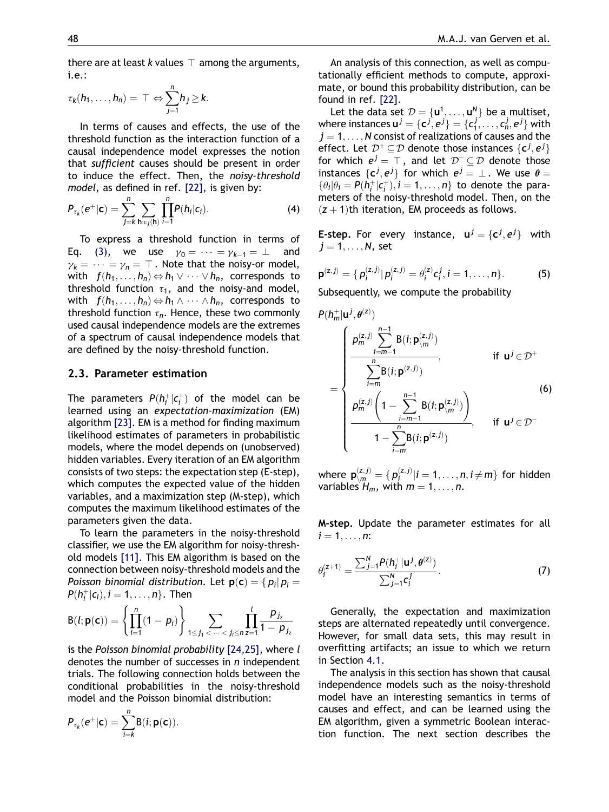<span id="page-3-0"></span>there are at least k values  $\top$  among the arguments, i.e.:

$$
\tau_k(h_1,\ldots,h_n) = \top \Leftrightarrow \sum_{j=1}^n h_j \geq k.
$$

In terms of causes and effects, the use of the threshold function as the interaction function of a causal independence model expresses the notion that sufficient causes should be present in order to induce the effect. Then, the noisy-threshold model, as defined in ref. [\[22\],](#page-10-0) is given by:

$$
P_{\tau_k}(e^+|\mathbf{c})=\sum_{j=k}^n\sum_{\mathbf{h}:z_j(\mathbf{h})}\prod_{i=1}^n P(h_i|c_i).
$$
 (4)

To express a threshold function in terms of Eq. [\(3\)](#page-2-0), we use  $\gamma_0 = \cdots = \gamma_{k-1} = \bot$  and  $\gamma_k = \cdots = \gamma_n = \top$ . Note that the noisy-or model, with  $f(h_1, \ldots, h_n) \Leftrightarrow h_1 \vee \cdots \vee h_n$ , corresponds to threshold function  $\tau_1$ , and the noisy-and model, with  $f(h_1, \ldots, h_n) \Leftrightarrow h_1 \wedge \cdots \wedge h_n$ , corresponds to threshold function  $\tau_n$ . Hence, these two commonly used causal independence models are the extremes of a spectrum of causal independence models that are defined by the noisy-threshold function.

## 2.3. Parameter estimation

The parameters  $P(h_j^+|c_j^+)$  of the model can be learned using an expectation-maximization (EM) algorithm [\[23\]](#page-10-0). EM is a method for finding maximum likelihood estimates of parameters in probabilistic models, where the model depends on (unobserved) hidden variables. Every iteration of an EM algorithm consists of two steps: the expectation step (E-step), which computes the expected value of the hidden variables, and a maximization step (M-step), which computes the maximum likelihood estimates of the parameters given the data.

To learn the parameters in the noisy-threshold classifier, we use the EM algorithm for noisy-threshold models [\[11\].](#page-9-0) This EM algorithm is based on the connection between noisy-threshold models and the Poisson binomial distribution. Let  $p(c) = \{p_i | p_i =$  $P(h_i^+|c_i), i = 1, \ldots, n\}$ . Then

$$
B(l; \mathbf{p}(\mathbf{c})) = \left\{ \prod_{i=1}^{n} (1-p_i) \right\} \sum_{1 \leq j_1 < \dots < j_l \leq n} \prod_{z=1}^{l} \frac{p_{j_z}}{1-p_{j_z}}
$$

is the Poisson binomial probability [\[24,25\],](#page-10-0) where l denotes the number of successes in  $n$  independent trials. The following connection holds between the conditional probabilities in the noisy-threshold model and the Poisson binomial distribution:

$$
P_{\tau_k}(e^+|c)=\sum_{i=k}^n B(i;p(c)).
$$

An analysis of this connection, as well as computationally efficient methods to compute, approximate, or bound this probability distribution, can be found in ref. [\[22\]](#page-10-0).

Let the data set  $\mathcal{D} = \{u^1, \ldots, u^N\}$  be a multiset, where instances  $\mathbf{u}^j = \{\mathbf{c}^j, \mathbf{e}^j\} = \{c_1^j, \dots, c_n^j, \mathbf{e}^j\}$  with  $j = 1, \ldots, N$  consist of realizations of causes and the effect. Let  $\mathcal{D}^+\subseteq\mathcal{D}$  denote those instances  $\{\mathbf{c}^j,e^j\}$ for which  $e^{j} = \top$ , and let  $\mathcal{D}^{-} \subseteq \mathcal{D}$  denote those instances  $\{c^j, e^j\}$  for which  $e^j = \perp$ . We use  $\theta =$  $\{\theta_i | \theta_i = P(h_i^+ | c_i^+), i = 1, ..., n\}$  to denote the parameters of the noisy-threshold model. Then, on the  $(z + 1)$ th iteration, EM proceeds as follows.

**E-step.** For every instance,  $u^j = {c^j, e^j}$  with  $j = 1, \ldots, N$ , set

$$
\mathbf{p}^{(z,j)} = \{p_i^{(z,j)} | p_i^{(z,j)} = \theta_i^{(z)} c_i^j, i = 1, \dots, n\}.
$$
 (5)

Subsequently, we compute the probability

$$
P(h_m^+|u^j, \theta^{(z)})
$$
\n
$$
= \begin{cases}\n\frac{p_m^{(z,j)}}{\sum_{i=m-1}^{n-1} B(i; \mathbf{p}_{\setminus m}^{(z,j)})} & \text{if } u^j \in \mathcal{D}^+ \\
\frac{\sum_{i=m}^{n} B(i; \mathbf{p}^{(z,j)})}{\sum_{i=m-1}^{n-1} B(i; \mathbf{p}_{\setminus m}^{(z,j)})} & \text{if } u^j \in \mathcal{D}^-\n\end{cases}
$$
\n
$$
1 - \sum_{i=m}^{n} B(i; \mathbf{p}^{(z,j)})
$$
\n
$$
(6)
$$

where  $\mathbf{p}_{\setminus m}^{(z,j)}=\set{p_j^{(z,j)}\vert i=1,\ldots,n, i\neq m}$  for hidden variables  $H_m$ , with  $m = 1, \ldots, n$ .

M-step. Update the parameter estimates for all  $i = 1, \ldots, n$ :

$$
\theta_i^{(z+1)} = \frac{\sum_{j=1}^N P(h_j^+ | \mathbf{u}^j, \theta^{(z)})}{\sum_{j=1}^N c_j^j}.
$$
 (7)

Generally, the expectation and maximization steps are alternated repeatedly until convergence. However, for small data sets, this may result in overfitting artifacts; an issue to which we return in Section [4.1.](#page-5-0)

The analysis in this section has shown that causal independence models such as the noisy-threshold model have an interesting semantics in terms of causes and effect, and can be learned using the EM algorithm, given a symmetric Boolean interaction function. The next section describes the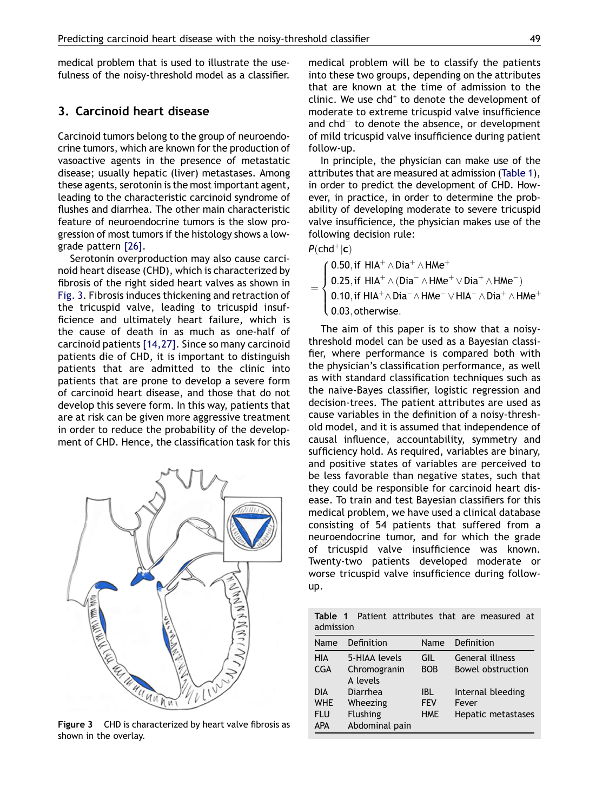<span id="page-4-0"></span>medical problem that is used to illustrate the usefulness of the noisy-threshold model as a classifier.

# 3. Carcinoid heart disease

Carcinoid tumors belong to the group of neuroendocrine tumors, which are known for the production of vasoactive agents in the presence of metastatic disease; usually hepatic (liver) metastases. Among these agents, serotonin is the most important agent, leading to the characteristic carcinoid syndrome of flushes and diarrhea. The other main characteristic feature of neuroendocrine tumors is the slow progression of most tumors if the histology shows a lowgrade pattern [\[26\]](#page-10-0).

Serotonin overproduction may also cause carcinoid heart disease (CHD), which is characterized by fibrosis of the right sided heart valves as shown in Fig. 3. Fibrosis induces thickening and retraction of the tricuspid valve, leading to tricuspid insufficience and ultimately heart failure, which is the cause of death in as much as one-half of carcinoid patients [\[14,27\]](#page-9-0). Since so many carcinoid patients die of CHD, it is important to distinguish patients that are admitted to the clinic into patients that are prone to develop a severe form of carcinoid heart disease, and those that do not develop this severe form. In this way, patients that are at risk can be given more aggressive treatment in order to reduce the probability of the development of CHD. Hence, the classification task for this

Figure 3 CHD is characterized by heart valve fibrosis as shown in the overlay.

medical problem will be to classify the patients into these two groups, depending on the attributes that are known at the time of admission to the clinic. We use chd<sup>+</sup> to denote the development of moderate to extreme tricuspid valve insufficience and  $chd<sup>-</sup>$  to denote the absence, or development of mild tricuspid valve insufficience during patient follow-up.

In principle, the physician can make use of the attributes that are measured at admission (Table 1), in order to predict the development of CHD. However, in practice, in order to determine the probability of developing moderate to severe tricuspid valve insufficience, the physician makes use of the following decision rule:

 $P$ (chd<sup>+</sup> $|c\rangle$ 

 $\equiv$ 0.50, if  $HIA^+ \wedge Dia^+ \wedge HMe^+$ 0.25, if  $HIA^+ \wedge (Dia^- \wedge HMe^+ \vee Dia^+ \wedge HMe^-)$ 0.10, if  $HIA^+\wedge$ Dia $^-\wedge$ HMe $^- \vee$ HIA $^ \wedge$ Dia $^+\wedge$ HMe $^+$ 0:03; otherwise:  $\overline{6}$  $\vert$  $\vert$ 

The aim of this paper is to show that a noisythreshold model can be used as a Bayesian classifier, where performance is compared both with the physician's classification performance, as well as with standard classification techniques such as the naive-Bayes classifier, logistic regression and decision-trees. The patient attributes are used as cause variables in the definition of a noisy-threshold model, and it is assumed that independence of causal influence, accountability, symmetry and sufficiency hold. As required, variables are binary, and positive states of variables are perceived to be less favorable than negative states, such that they could be responsible for carcinoid heart disease. To train and test Bayesian classifiers for this medical problem, we have used a clinical database consisting of 54 patients that suffered from a neuroendocrine tumor, and for which the grade of tricuspid valve insufficience was known. Twenty-two patients developed moderate or worse tricuspid valve insufficience during followup.

|           |  | Table 1 Patient attributes that are measured at |  |  |
|-----------|--|-------------------------------------------------|--|--|
| admission |  |                                                 |  |  |

| Name       | Definition               | Name       | Definition               |
|------------|--------------------------|------------|--------------------------|
| <b>HIA</b> | 5-HIAA levels            | GIL        | General illness          |
| <b>CGA</b> | Chromogranin<br>A levels | <b>BOB</b> | <b>Bowel obstruction</b> |
| DIA        | Diarrhea                 | IBL        | Internal bleeding        |
| <b>WHE</b> | Wheezing                 | <b>FEV</b> | Fever                    |
| FLU        | Flushing                 | <b>HME</b> | Hepatic metastases       |
| APA        | Abdominal pain           |            |                          |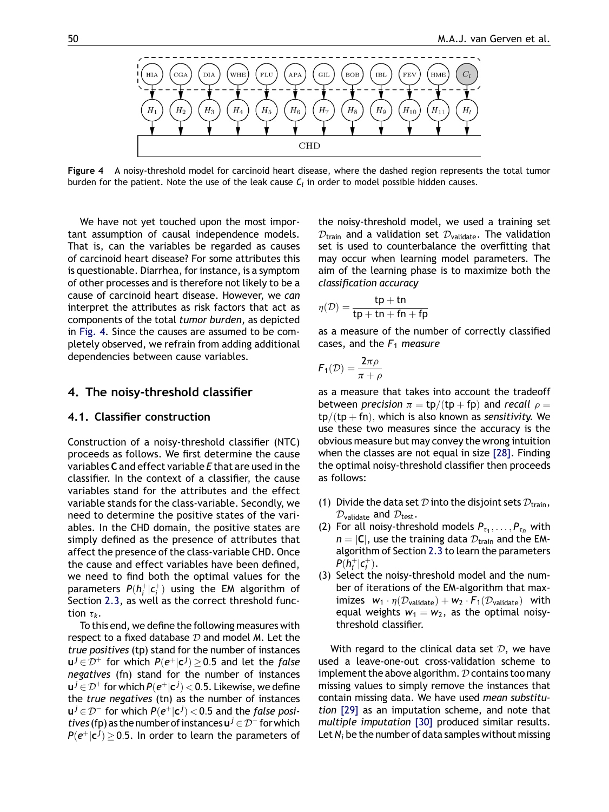<span id="page-5-0"></span>

Figure 4 A noisy-threshold model for carcinoid heart disease, where the dashed region represents the total tumor burden for the patient. Note the use of the leak cause  $C_l$  in order to model possible hidden causes.

We have not yet touched upon the most important assumption of causal independence models. That is, can the variables be regarded as causes of carcinoid heart disease? For some attributes this is questionable. Diarrhea, for instance, is a symptom of other processes and is therefore not likely to be a cause of carcinoid heart disease. However, we can interpret the attributes as risk factors that act as components of the total tumor burden, as depicted in Fig. 4. Since the causes are assumed to be completely observed, we refrain from adding additional dependencies between cause variables.

## 4. The noisy-threshold classifier

#### 4.1. Classifier construction

Construction of a noisy-threshold classifier (NTC) proceeds as follows. We first determine the cause variables C and effect variable E that are used in the classifier. In the context of a classifier, the cause variables stand for the attributes and the effect variable stands for the class-variable. Secondly, we need to determine the positive states of the variables. In the CHD domain, the positive states are simply defined as the presence of attributes that affect the presence of the class-variable CHD. Once the cause and effect variables have been defined, we need to find both the optimal values for the parameters  $P(h_j^+|c_j^+)$  using the EM algorithm of Section [2.3,](#page-3-0) as well as the correct threshold function  $\tau_k$ .

To this end, we define the following measures with respect to a fixed database  $D$  and model M. Let the true positives (tp) stand for the number of instances  $u^j\!\in\!\mathcal{D}^+$  for which  $P(e^+|\mathbf{c}^j)\!\geq\!0.5$  and let the false negatives (fn) stand for the number of instances  $\mathbf{u}^j$   $\in$   $\mathcal{D}^+$  for which  $P(\boldsymbol{e}^+|\mathbf{c}^j)$   $<$  0.5. Likewise, we define the true negatives (tn) as the number of instances  $u^j \in \mathcal{D}^-$  for which  $P(e^+ | c^j) < 0.5$  and the false positives (fp) as the number of instances  $u^j \in \mathcal{D}^-$  for which  $P(e^+|\mathbf{c}^j)\!\geq\!0.5.$  In order to learn the parameters of

the noisy-threshold model, we used a training set  $\mathcal{D}_{\text{train}}$  and a validation set  $\mathcal{D}_{\text{validate}}$ . The validation set is used to counterbalance the overfitting that may occur when learning model parameters. The aim of the learning phase is to maximize both the classification accuracy

$$
\eta(\mathcal{D}) = \frac{tp+tn}{tp+tn+fn+fp}
$$

as a measure of the number of correctly classified cases, and the  $F_1$  measure

$$
F_1(\mathcal{D}) = \frac{2\pi\rho}{\pi + \rho}
$$

as a measure that takes into account the tradeoff between precision  $\pi = \frac{tp}{tp + fp}$  and recall  $\rho =$  $tp/(tp + fn)$ , which is also known as sensitivity. We use these two measures since the accuracy is the obvious measure but may convey the wrong intuition when the classes are not equal in size [\[28\].](#page-10-0) Finding the optimal noisy-threshold classifier then proceeds as follows:

- (1) Divide the data set D into the disjoint sets  $\mathcal{D}_{train}$ ,  $\mathcal{D}_{\text{validate}}$  and  $\mathcal{D}_{\text{test}}$ .
- (2) For all noisy-threshold models  $P_{\tau_1}, \ldots, P_{\tau_n}$  with  $n = |C|$ , use the training data  $\mathcal{D}_{\text{train}}$  and the EMalgorithm of Section [2.3](#page-3-0) to learn the parameters  $P(h_i^+|c_i^+).$
- (3) Select the noisy-threshold model and the number of iterations of the EM-algorithm that maximizes  $w_1 \cdot \eta(D_{\text{validate}}) + w_2 \cdot F_1(D_{\text{validate}})$  with equal weights  $w_1 = w_2$ , as the optimal noisythreshold classifier.

With regard to the clinical data set  $D$ , we have used a leave-one-out cross-validation scheme to implement the above algorithm.  $D$  contains too many missing values to simply remove the instances that contain missing data. We have used mean substitution [\[29\]](#page-10-0) as an imputation scheme, and note that multiple imputation [\[30\]](#page-10-0) produced similar results. Let  $N_i$  be the number of data samples without missing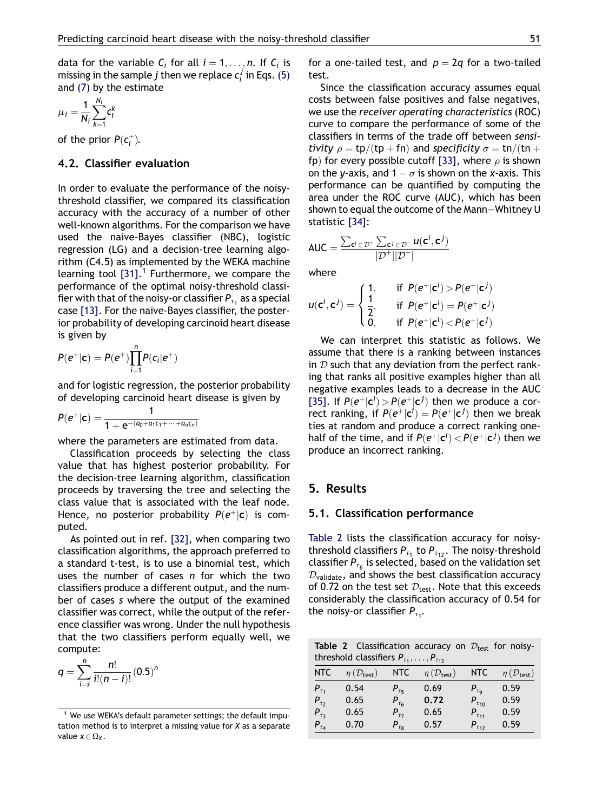<span id="page-6-0"></span>data for the variable  $C_i$  for all  $i = 1, \ldots, n$ . If  $C_i$  is missing in the sample  $j$  then we replace  $\mathsf{c}_i^{\,j}$  in Eqs. [\(5\)](#page-3-0) and [\(7\)](#page-3-0) by the estimate

$$
\mu_i = \frac{1}{N_i} \sum_{k=1}^{N_i} c_i^k
$$

of the prior  $P(c_i^+)$ .

## 4.2. Classifier evaluation

In order to evaluate the performance of the noisythreshold classifier, we compared its classification accuracy with the accuracy of a number of other well-known algorithms. For the comparison we have used the naive-Bayes classifier (NBC), logistic regression (LG) and a decision-tree learning algorithm (C4.5) as implemented by the WEKA machine learning tool  $[31]$ .<sup>1</sup> Furthermore, we compare the performance of the optimal noisy-threshold classifier with that of the noisy-or classifier  $P_{\tau_1}$  as a special case [\[13\]](#page-9-0). For the naive-Bayes classifier, the posterior probability of developing carcinoid heart disease is given by

$$
P(e^+|c)=P(e^+)\underset{i=1}{\overset{n}{\prod}}P(c_i|e^+)
$$

and for logistic regression, the posterior probability of developing carcinoid heart disease is given by

$$
P(e^+|c) = \frac{1}{1+e^{-(a_0+a_1c_1+\cdots+a_nc_n)}}
$$

where the parameters are estimated from data.

Classification proceeds by selecting the class value that has highest posterior probability. For the decision-tree learning algorithm, classification proceeds by traversing the tree and selecting the class value that is associated with the leaf node. Hence, no posterior probability  $P(e^+|c)$  is computed.

As pointed out in ref. [\[32\],](#page-10-0) when comparing two classification algorithms, the approach preferred to a standard t-test, is to use a binomial test, which uses the number of cases  $n$  for which the two classifiers produce a different output, and the number of cases s where the output of the examined classifier was correct, while the output of the reference classifier was wrong. Under the null hypothesis that the two classifiers perform equally well, we compute:

$$
q = \sum_{i=s}^{n} \frac{n!}{i!(n-i)!} (0.5)^n
$$

for a one-tailed test, and  $p = 2q$  for a two-tailed test.

Since the classification accuracy assumes equal costs between false positives and false negatives, we use the receiver operating characteristics (ROC) curve to compare the performance of some of the classifiers in terms of the trade off between sensitivity  $\rho = \frac{tp}{tp + fn}$  and specificity  $\sigma = \frac{tn}{tn +}$ fp) for every possible cutoff [\[33\],](#page-10-0) where  $\rho$  is shown on the y-axis, and  $1 - \sigma$  is shown on the x-axis. This performance can be quantified by computing the area under the ROC curve (AUC), which has been shown to equal the outcome of the Mann—Whitney U statistic [\[34\]](#page-10-0):

$$
\text{AUC} = \frac{\sum_{\mathbf{c}^i \in \mathcal{D}^+} \sum_{\mathbf{c}^j \in \mathcal{D}^-} u(\mathbf{c}^i, \mathbf{c}^j)}{|\mathcal{D}^+||\mathcal{D}^-|}
$$

where

$$
u(\mathbf{c}^i, \mathbf{c}^j) = \begin{cases} 1, & \text{if } P(\mathbf{e}^+|\mathbf{c}^i) > P(\mathbf{e}^+|\mathbf{c}^j) \\ \frac{1}{2}, & \text{if } P(\mathbf{e}^+|\mathbf{c}^i) = P(\mathbf{e}^+|\mathbf{c}^j) \\ 0, & \text{if } P(\mathbf{e}^+|\mathbf{c}^i) < P(\mathbf{e}^+|\mathbf{c}^j) \end{cases}
$$

We can interpret this statistic as follows. We assume that there is a ranking between instances in  $D$  such that any deviation from the perfect ranking that ranks all positive examples higher than all negative examples leads to a decrease in the AUC [\[35\]](#page-10-0). If  $P(e^+|c^i) > P(e^+|c^j)$  then we produce a correct ranking, if  $P(e^+|c^i) = P(e^+|c^j)$  then we break ties at random and produce a correct ranking onehalf of the time, and if  $P(e^+ | c^i)$   $<$   $P(e^+ | c^j)$  then we produce an incorrect ranking.

#### 5. Results

#### 5.1. Classification performance

Table 2 lists the classification accuracy for noisythreshold classifiers  $P_{\tau_1}$  to  $P_{\tau_{12}}$ . The noisy-threshold classifier  $P_{\tau_6}$  is selected, based on the validation set  $\mathcal{D}_{\text{validate}}$ , and shows the best classification accuracy of 0.72 on the test set  $\mathcal{D}_{\text{test}}$ . Note that this exceeds considerably the classification accuracy of 0.54 for the noisy-or classifier  $P_{\tau_1}$ .

| <b>Table 2</b> Classification accuracy on $\mathcal{D}_{\text{test}}$ for noisy- |  |  |  |
|----------------------------------------------------------------------------------|--|--|--|
| threshold classifiers $P_{\tau_1}, \ldots, P_{\tau_{12}}$                        |  |  |  |

| <b>NTC</b>   | $\eta\left(\mathcal{D}_{\mathsf{test}}\right)$ | NTC                | $\eta\left(\mathcal{D}_{\text{test}}\right)$ | <b>NTC</b>              | $\eta\left(\mathcal{D}_{\text{test}}\right)$ |
|--------------|------------------------------------------------|--------------------|----------------------------------------------|-------------------------|----------------------------------------------|
| $P_{\tau_1}$ | 0.54                                           | $P_{\tau_{5}}$     | 0.69                                         | $P_{\tau_{\mathsf{q}}}$ | 0.59                                         |
| $P_{\tau_2}$ | 0.65                                           | ${\sf P}_{\tau_6}$ | 0.72                                         | $P_{\tau_{10}}$         | 0.59                                         |
| $P_{\tau_3}$ | 0.65                                           | $P_{\tau}$         | 0.65                                         | $P_{\tau_{11}}$         | 0.59                                         |
| $P_{\tau_4}$ | 0.70                                           | $P_{\tau_8}$       | 0.57                                         | $P_{\tau_{12}}$         | 0.59                                         |

 $1$  We use WEKA's default parameter settings; the default imputation method is to interpret a missing value for  $X$  as a separate value  $x \in \Omega_X$ .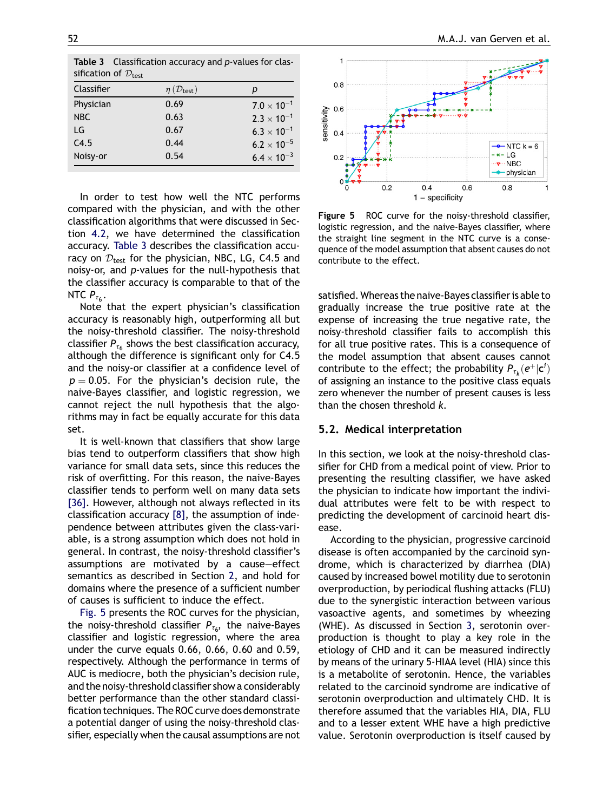Table 3 Classification accuracy and p-values for classification of  $\mathcal{D}_{\text{test}}$ 

| Classifier | $\eta$ ( $\mathcal{D}_{\text{test}}$ ) | р                    |
|------------|----------------------------------------|----------------------|
| Physician  | 0.69                                   | $7.0 \times 10^{-1}$ |
| NBC        | 0.63                                   | $2.3 \times 10^{-1}$ |
| LG         | 0.67                                   | $6.3 \times 10^{-1}$ |
| C4.5       | 0.44                                   | $6.2 \times 10^{-5}$ |
| Noisy-or   | 0.54                                   | $6.4 \times 10^{-3}$ |
|            |                                        |                      |

In order to test how well the NTC performs compared with the physician, and with the other classification algorithms that were discussed in Section [4.2,](#page-6-0) we have determined the classification accuracy. Table 3 describes the classification accuracy on  $D_{\text{test}}$  for the physician, NBC, LG, C4.5 and noisy-or, and p-values for the null-hypothesis that the classifier accuracy is comparable to that of the NTC  $P_{\tau_6}$ .

Note that the expert physician's classification accuracy is reasonably high, outperforming all but the noisy-threshold classifier. The noisy-threshold classifier  $P_{\tau_6}$  shows the best classification accuracy, although the difference is significant only for C4.5 and the noisy-or classifier at a confidence level of  $p = 0.05$ . For the physician's decision rule, the naive-Bayes classifier, and logistic regression, we cannot reject the null hypothesis that the algorithms may in fact be equally accurate for this data set.

It is well-known that classifiers that show large bias tend to outperform classifiers that show high variance for small data sets, since this reduces the risk of overfitting. For this reason, the naive-Bayes classifier tends to perform well on many data sets [\[36\]](#page-10-0). However, although not always reflected in its classification accuracy [\[8\]](#page-9-0), the assumption of independence between attributes given the class-variable, is a strong assumption which does not hold in general. In contrast, the noisy-threshold classifier's assumptions are motivated by a cause—effect semantics as described in Section [2](#page-1-0), and hold for domains where the presence of a sufficient number of causes is sufficient to induce the effect.

Fig. 5 presents the ROC curves for the physician, the noisy-threshold classifier  $P_{\tau_6}$ , the naive-Bayes classifier and logistic regression, where the area under the curve equals 0.66, 0.66, 0.60 and 0.59, respectively. Although the performance in terms of AUC is mediocre, both the physician's decision rule, and the noisy-threshold classifier show a considerably better performance than the other standard classification techniques. The ROC curve does demonstrate a potential danger of using the noisy-threshold classifier, especially when the causal assumptions are not



Figure 5 ROC curve for the noisy-threshold classifier, logistic regression, and the naive-Bayes classifier, where the straight line segment in the NTC curve is a consequence of the model assumption that absent causes do not contribute to the effect.

satisfied. Whereas the naive-Bayes classifier is able to gradually increase the true positive rate at the expense of increasing the true negative rate, the noisy-threshold classifier fails to accomplish this for all true positive rates. This is a consequence of the model assumption that absent causes cannot contribute to the effect; the probability  $P_{\tau_k}(e^+|\mathbf{c}^i)$ of assigning an instance to the positive class equals zero whenever the number of present causes is less than the chosen threshold k.

## 5.2. Medical interpretation

In this section, we look at the noisy-threshold classifier for CHD from a medical point of view. Prior to presenting the resulting classifier, we have asked the physician to indicate how important the individual attributes were felt to be with respect to predicting the development of carcinoid heart disease.

According to the physician, progressive carcinoid disease is often accompanied by the carcinoid syndrome, which is characterized by diarrhea (DIA) caused by increased bowel motility due to serotonin overproduction, by periodical flushing attacks (FLU) due to the synergistic interaction between various vasoactive agents, and sometimes by wheezing (WHE). As discussed in Section [3,](#page-4-0) serotonin overproduction is thought to play a key role in the etiology of CHD and it can be measured indirectly by means of the urinary 5-HIAA level (HIA) since this is a metabolite of serotonin. Hence, the variables related to the carcinoid syndrome are indicative of serotonin overproduction and ultimately CHD. It is therefore assumed that the variables HIA, DIA, FLU and to a lesser extent WHE have a high predictive value. Serotonin overproduction is itself caused by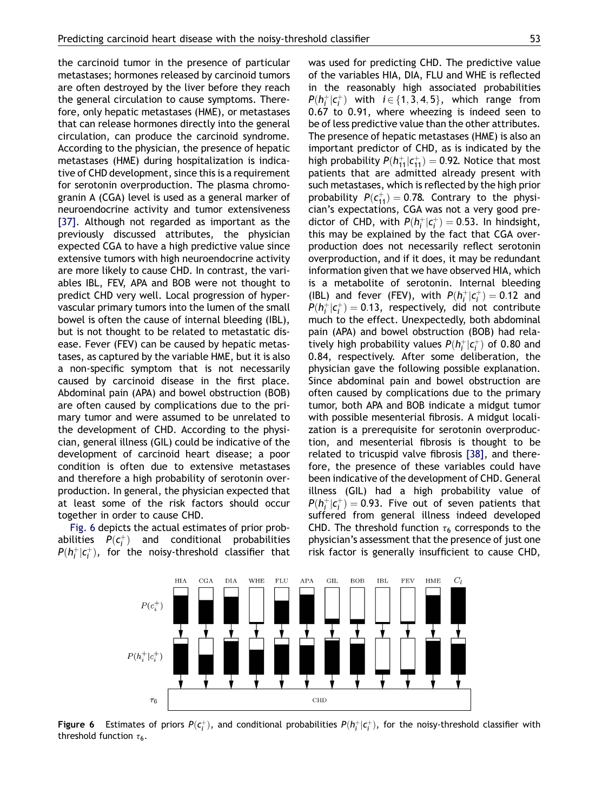the carcinoid tumor in the presence of particular metastases; hormones released by carcinoid tumors are often destroyed by the liver before they reach the general circulation to cause symptoms. Therefore, only hepatic metastases (HME), or metastases that can release hormones directly into the general circulation, can produce the carcinoid syndrome. According to the physician, the presence of hepatic metastases (HME) during hospitalization is indicative of CHD development, since this is a requirement for serotonin overproduction. The plasma chromogranin A (CGA) level is used as a general marker of neuroendocrine activity and tumor extensiveness [\[37\]](#page-10-0). Although not regarded as important as the previously discussed attributes, the physician expected CGA to have a high predictive value since extensive tumors with high neuroendocrine activity are more likely to cause CHD. In contrast, the variables IBL, FEV, APA and BOB were not thought to predict CHD very well. Local progression of hypervascular primary tumors into the lumen of the small bowel is often the cause of internal bleeding (IBL), but is not thought to be related to metastatic disease. Fever (FEV) can be caused by hepatic metastases, as captured by the variable HME, but it is also a non-specific symptom that is not necessarily caused by carcinoid disease in the first place. Abdominal pain (APA) and bowel obstruction (BOB) are often caused by complications due to the primary tumor and were assumed to be unrelated to the development of CHD. According to the physician, general illness (GIL) could be indicative of the development of carcinoid heart disease; a poor condition is often due to extensive metastases and therefore a high probability of serotonin overproduction. In general, the physician expected that at least some of the risk factors should occur together in order to cause CHD.

Fig. 6 depicts the actual estimates of prior probabilities  $P(\boldsymbol{c}_i^+)$  and conditional probabilities  $P(h_{j}^{+}|\boldsymbol{c}_{j}^{+})$ , for the noisy-threshold classifier that

was used for predicting CHD. The predictive value of the variables HIA, DIA, FLU and WHE is reflected in the reasonably high associated probabilities  $P(h_i^+|c_i^+)$  with  $i \in \{1,3,4,5\}$ , which range from 0.67 to 0.91, where wheezing is indeed seen to be of less predictive value than the other attributes. The presence of hepatic metastases (HME) is also an important predictor of CHD, as is indicated by the high probability  $P(h_{11}^+|c_{11}^+)=0.92$ . Notice that most patients that are admitted already present with such metastases, which is reflected by the high prior probability  $P(c_{11}^+) = 0.78$ . Contrary to the physician's expectations, CGA was not a very good predictor of CHD, with  $P(h_i^+|c_i^+) = 0.53$ . In hindsight, this may be explained by the fact that CGA overproduction does not necessarily reflect serotonin overproduction, and if it does, it may be redundant information given that we have observed HIA, which is a metabolite of serotonin. Internal bleeding (IBL) and fever (FEV), with  $P(h_i^+|c_i^+) = 0.12$  and  $P(h^{+}_{i}|c^{+}_{i})=$  0.13, respectively, did not contribute much to the effect. Unexpectedly, both abdominal pain (APA) and bowel obstruction (BOB) had relatively high probability values  $P(h_j^+|c_j^+)$  of 0.80 and 0.84, respectively. After some deliberation, the physician gave the following possible explanation. Since abdominal pain and bowel obstruction are often caused by complications due to the primary tumor, both APA and BOB indicate a midgut tumor with possible mesenterial fibrosis. A midgut localization is a prerequisite for serotonin overproduction, and mesenterial fibrosis is thought to be related to tricuspid valve fibrosis [\[38\],](#page-10-0) and therefore, the presence of these variables could have been indicative of the development of CHD. General illness (GIL) had a high probability value of  $P(h_{j}^{+}|c_{j}^{+})=$  0.93. Five out of seven patients that suffered from general illness indeed developed CHD. The threshold function  $\tau_6$  corresponds to the physician's assessment that the presence of just one risk factor is generally insufficient to cause CHD,



**Figure 6** Estimates of priors  $P(c^+_i)$ , and conditional probabilities  $P(h^+_i|c^+_i)$ , for the noisy-threshold classifier with threshold function  $\tau_6$ .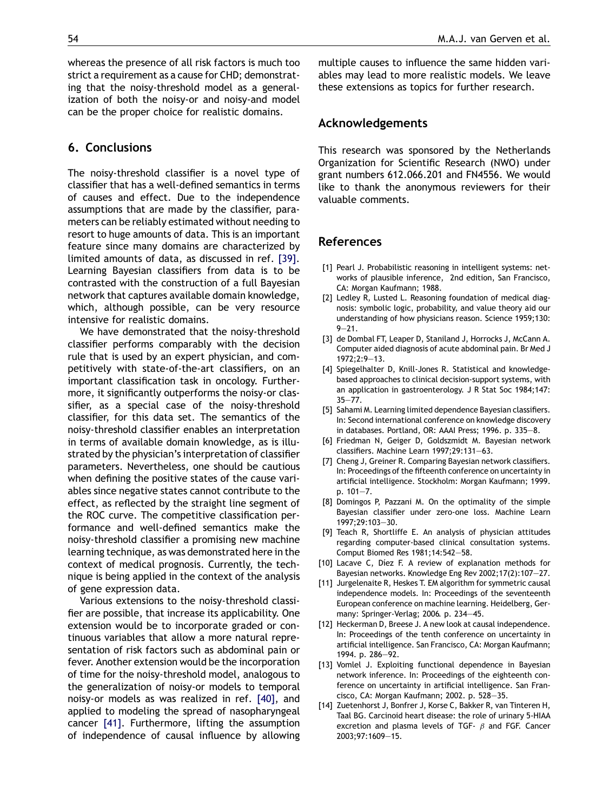<span id="page-9-0"></span>whereas the presence of all risk factors is much too strict a requirement as a cause for CHD; demonstrating that the noisy-threshold model as a generalization of both the noisy-or and noisy-and model can be the proper choice for realistic domains.

# 6. Conclusions

The noisy-threshold classifier is a novel type of classifier that has a well-defined semantics in terms of causes and effect. Due to the independence assumptions that are made by the classifier, parameters can be reliably estimated without needing to resort to huge amounts of data. This is an important feature since many domains are characterized by limited amounts of data, as discussed in ref. [\[39\].](#page-10-0) Learning Bayesian classifiers from data is to be contrasted with the construction of a full Bayesian network that captures available domain knowledge, which, although possible, can be very resource intensive for realistic domains.

We have demonstrated that the noisy-threshold classifier performs comparably with the decision rule that is used by an expert physician, and competitively with state-of-the-art classifiers, on an important classification task in oncology. Furthermore, it significantly outperforms the noisy-or classifier, as a special case of the noisy-threshold classifier, for this data set. The semantics of the noisy-threshold classifier enables an interpretation in terms of available domain knowledge, as is illustrated by the physician's interpretation of classifier parameters. Nevertheless, one should be cautious when defining the positive states of the cause variables since negative states cannot contribute to the effect, as reflected by the straight line segment of the ROC curve. The competitive classification performance and well-defined semantics make the noisy-threshold classifier a promising new machine learning technique, as was demonstrated here in the context of medical prognosis. Currently, the technique is being applied in the context of the analysis of gene expression data.

Various extensions to the noisy-threshold classifier are possible, that increase its applicability. One extension would be to incorporate graded or continuous variables that allow a more natural representation of risk factors such as abdominal pain or fever. Another extension would be the incorporation of time for the noisy-threshold model, analogous to the generalization of noisy-or models to temporal noisy-or models as was realized in ref. [\[40\]](#page-10-0), and applied to modeling the spread of nasopharyngeal cancer [\[41\].](#page-10-0) Furthermore, lifting the assumption of independence of causal influence by allowing multiple causes to influence the same hidden variables may lead to more realistic models. We leave these extensions as topics for further research.

# Acknowledgements

This research was sponsored by the Netherlands Organization for Scientific Research (NWO) under grant numbers 612.066.201 and FN4556. We would like to thank the anonymous reviewers for their valuable comments.

# References

- [1] Pearl J. Probabilistic reasoning in intelligent systems: networks of plausible inference, 2nd edition, San Francisco, CA: Morgan Kaufmann; 1988.
- [2] Ledley R, Lusted L. Reasoning foundation of medical diagnosis: symbolic logic, probability, and value theory aid our understanding of how physicians reason. Science 1959;130:  $9 - 21.$
- [3] de Dombal FT, Leaper D, Staniland J, Horrocks J, McCann A. Computer aided diagnosis of acute abdominal pain. Br Med J 1972;2:9—13.
- [4] Spiegelhalter D, Knill-Jones R. Statistical and knowledgebased approaches to clinical decision-support systems, with an application in gastroenterology. J R Stat Soc 1984;147: 35—77.
- [5] Sahami M. Learning limited dependence Bayesian classifiers. In: Second international conference on knowledge discovery in databases. Portland, OR: AAAI Press; 1996. p. 335—8.
- [6] Friedman N, Geiger D, Goldszmidt M. Bayesian network classifiers. Machine Learn 1997;29:131—63.
- [7] Cheng J, Greiner R. Comparing Bayesian network classifiers. In: Proceedings of the fifteenth conference on uncertainty in artificial intelligence. Stockholm: Morgan Kaufmann; 1999. p. 101—7.
- [8] Domingos P, Pazzani M. On the optimality of the simple Bayesian classifier under zero-one loss. Machine Learn 1997;29:103—30.
- [9] Teach R, Shortliffe E. An analysis of physician attitudes regarding computer-based clinical consultation systems. Comput Biomed Res 1981;14:542—58.
- [10] Lacave C, Díez F. A review of explanation methods for Bayesian networks. Knowledge Eng Rev 2002;17(2):107—27.
- [11] Jurgelenaite R, Heskes T. EM algorithm for symmetric causal independence models. In: Proceedings of the seventeenth European conference on machine learning. Heidelberg, Germany: Springer-Verlag; 2006. p. 234—45.
- [12] Heckerman D, Breese J. A new look at causal independence. In: Proceedings of the tenth conference on uncertainty in artificial intelligence. San Francisco, CA: Morgan Kaufmann; 1994. p. 286—92.
- [13] Vomlel J. Exploiting functional dependence in Bayesian network inference. In: Proceedings of the eighteenth conference on uncertainty in artificial intelligence. San Francisco, CA: Morgan Kaufmann; 2002. p. 528—35.
- [14] Zuetenhorst J, Bonfrer J, Korse C, Bakker R, van Tinteren H, Taal BG. Carcinoid heart disease: the role of urinary 5-HIAA excretion and plasma levels of TGF-  $\beta$  and FGF. Cancer 2003;97:1609—15.